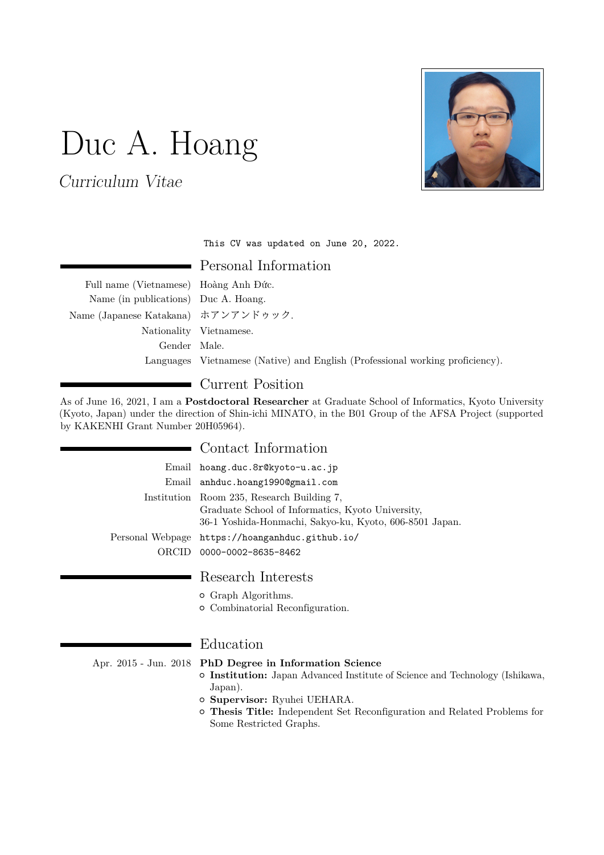# Duc A. Hoang

Curriculum Vitae



This CV was updated on June 20, 2022.

Personal Information

Full name (Vietnamese) Hoàng Anh Đức. Name (in publications) Duc A. Hoang. Name (Japanese Katakana) ホアンアンドゥック. Nationality Vietnamese. Gender Male. Languages Vietnamese (Native) and English (Professional working proficiency).

# Current Position

As of June 16, 2021, I am a **Postdoctoral Researcher** at Graduate School of Informatics, Kyoto University (Kyoto, Japan) under the direction of [Shin-ichi MINATO,](http://www.lab2.kuis.kyoto-u.ac.jp/minato) in the [B01 Group](https://afsa.jp/en/member/#b01) of the [AFSA Project](https://www.afsa.jp/) (supported by KAKENHI Grant Number [20H05964\)](https://kaken.nii.ac.jp/en/grant/KAKENHI-PLANNED-20H05964/).

## Contact Information

|       | Email hoang.duc.8r@kyoto-u.ac.jp                                                                                                                                                               |
|-------|------------------------------------------------------------------------------------------------------------------------------------------------------------------------------------------------|
|       | Email anhduc.hoang1990@gmail.com                                                                                                                                                               |
|       | Institution Room 235, Research Building 7,<br>Graduate School of Informatics, Kyoto University,<br>36-1 Yoshida-Honmachi, Sakyo-ku, Kyoto, 606-8501 Japan.                                     |
|       | Personal Webpage https://hoanganhduc.github.io/                                                                                                                                                |
| ORCID | 0000-0002-8635-8462                                                                                                                                                                            |
|       | Research Interests<br><b>•</b> Graph Algorithms.<br><b>•</b> Combinatorial Reconfiguration.                                                                                                    |
|       | Education                                                                                                                                                                                      |
|       | Apr. 2015 - Jun. 2018 PhD Degree in Information Science<br><b>• Institution:</b> Japan Advanced Institute of Science and Technology (Ishikawa,<br>Japan).<br><b>Supervisor:</b> Ryuhei UEHARA. |

{ **Thesis Title:** Independent Set Reconfiguration and Related Problems for Some Restricted Graphs.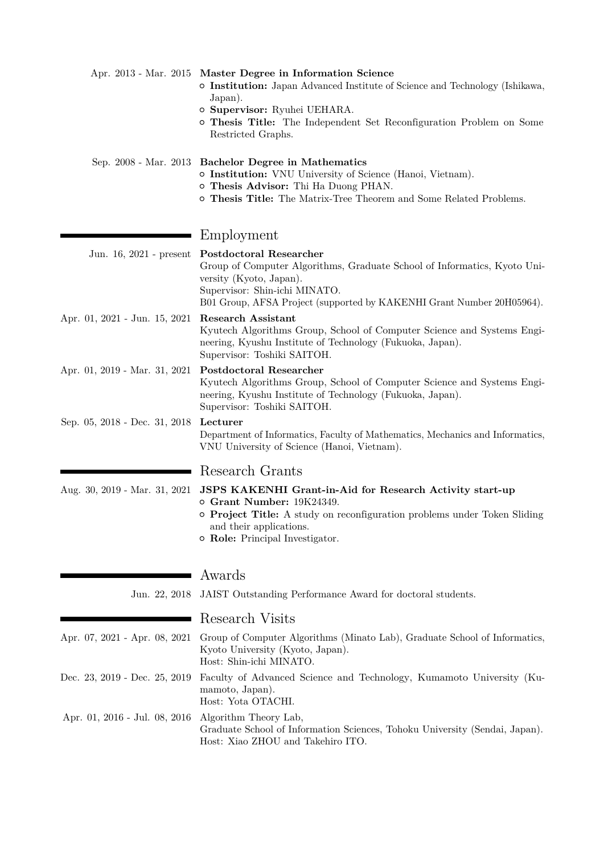|                               | Apr. 2013 - Mar. 2015 Master Degree in Information Science<br>o Institution: Japan Advanced Institute of Science and Technology (Ishikawa,<br>Japan).<br>o Supervisor: Ryuhei UEHARA.<br>o Thesis Title: The Independent Set Reconfiguration Problem on Some<br>Restricted Graphs. |
|-------------------------------|------------------------------------------------------------------------------------------------------------------------------------------------------------------------------------------------------------------------------------------------------------------------------------|
|                               | Sep. 2008 - Mar. 2013 Bachelor Degree in Mathematics<br>o Institution: VNU University of Science (Hanoi, Vietnam).<br>o Thesis Advisor: Thi Ha Duong PHAN.<br>o Thesis Title: The Matrix-Tree Theorem and Some Related Problems.                                                   |
|                               | Employment                                                                                                                                                                                                                                                                         |
| Jun. 16, 2021 - present       | <b>Postdoctoral Researcher</b><br>Group of Computer Algorithms, Graduate School of Informatics, Kyoto Uni-<br>versity (Kyoto, Japan).<br>Supervisor: Shin-ichi MINATO.<br>B01 Group, AFSA Project (supported by KAKENHI Grant Number 20H05964).                                    |
| Apr. 01, 2021 - Jun. 15, 2021 | <b>Research Assistant</b><br>Kyutech Algorithms Group, School of Computer Science and Systems Engi-<br>neering, Kyushu Institute of Technology (Fukuoka, Japan).<br>Supervisor: Toshiki SAITOH.                                                                                    |
| Apr. 01, 2019 - Mar. 31, 2021 | <b>Postdoctoral Researcher</b><br>Kyutech Algorithms Group, School of Computer Science and Systems Engi-<br>neering, Kyushu Institute of Technology (Fukuoka, Japan).<br>Supervisor: Toshiki SAITOH.                                                                               |
| Sep. 05, 2018 - Dec. 31, 2018 | Lecturer<br>Department of Informatics, Faculty of Mathematics, Mechanics and Informatics,<br>VNU University of Science (Hanoi, Vietnam).                                                                                                                                           |
|                               | Research Grants                                                                                                                                                                                                                                                                    |
| Aug. 30, 2019 - Mar. 31, 2021 | JSPS KAKENHI Grant-in-Aid for Research Activity start-up<br>o Grant Number: 19K24349.<br><b>o</b> Project Title: A study on reconfiguration problems under Token Sliding<br>and their applications.<br>o Role: Principal Investigator.                                             |
|                               | Awards                                                                                                                                                                                                                                                                             |
| Jun. 22, 2018                 | JAIST Outstanding Performance Award for doctoral students.                                                                                                                                                                                                                         |
|                               | Research Visits                                                                                                                                                                                                                                                                    |
| Apr. 07, 2021 - Apr. 08, 2021 | Group of Computer Algorithms (Minato Lab), Graduate School of Informatics,<br>Kyoto University (Kyoto, Japan).<br>Host: Shin-ichi MINATO.                                                                                                                                          |
| Dec. 23, 2019 - Dec. 25, 2019 | Faculty of Advanced Science and Technology, Kumamoto University (Ku-<br>mamoto, Japan).<br>Host: Yota OTACHI.                                                                                                                                                                      |
| Apr. 01, 2016 - Jul. 08, 2016 | Algorithm Theory Lab,<br>Graduate School of Information Sciences, Tohoku University (Sendai, Japan).<br>Host: Xiao ZHOU and Takehiro ITO.                                                                                                                                          |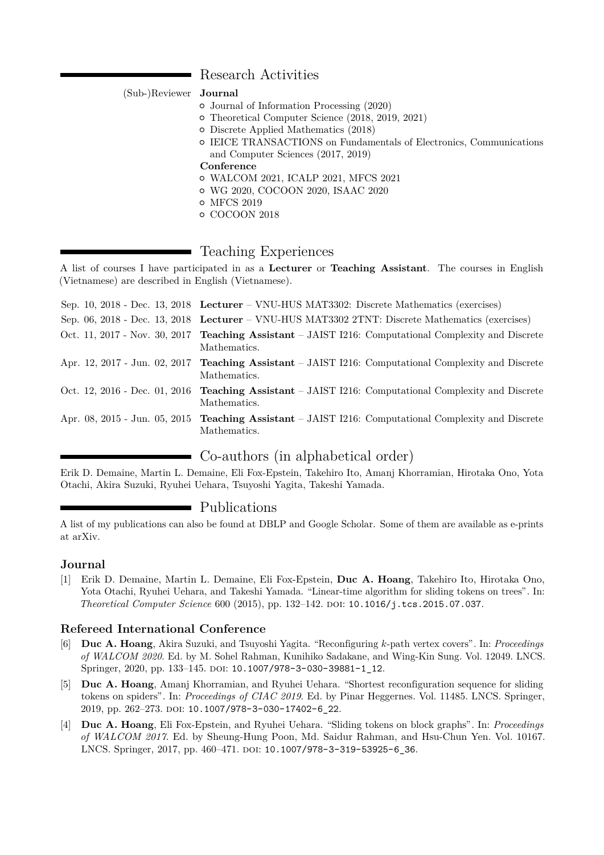#### Research Activities

(Sub-)Reviewer **Journal**

- { [Journal of Information Processing](https://www.ipsj.or.jp/english/jip/index.html) (2020)
- { [Theoretical Computer Science](https://www.journals.elsevier.com/theoretical-computer-science/) (2018, 2019, 2021)
- { [Discrete Applied Mathematics](https://www.journals.elsevier.com/discrete-applied-mathematics/) (2018)
- { [IEICE TRANSACTIONS on Fundamentals of Electronics, Communications](http://search.ieice.org/bin/index.php?category=A&lang=E&curr=1) [and Computer Sciences](http://search.ieice.org/bin/index.php?category=A&lang=E&curr=1) (2017, 2019)

#### **Conference**

- { [WALCOM 2021,](https://www.uit.edu.mm/walcom-2021/) [ICALP 2021,](http://easyconferences.eu/icalp2021/) [MFCS 2021](https://compose.ioc.ee/mfcs/)
- { [WG 2020,](https://algorithms.leeds.ac.uk/wg2020/) [COCOON 2020,](http://cocoon-conference.org/2020/) [ISAAC 2020](https://algo2020.comp.polyu.edu.hk/)
- { [MFCS 2019](https://tcs.rwth-aachen.de/mfcs2019/)
- { [COCOON 2018](http://cocoon2018.sdu.edu.cn/)

### Teaching Experiences

A list of courses I have participated in as a **Lecturer** or **Teaching Assistant**. The courses in English (Vietnamese) are described in English (Vietnamese).

| Sep. 10, 2018 - Dec. 13, 2018 Lecturer – VNU-HUS MAT3302: Discrete Mathematics (exercises)                           |
|----------------------------------------------------------------------------------------------------------------------|
| Sep. 06, 2018 - Dec. 13, 2018 Lecturer – VNU-HUS MAT3302 2TNT: Discrete Mathematics (exercises)                      |
| Oct. 11, 2017 - Nov. 30, 2017 Teaching Assistant – JAIST I216: Computational Complexity and Discrete<br>Mathematics. |
| Apr. 12, 2017 - Jun. 02, 2017 Teaching Assistant – JAIST I216: Computational Complexity and Discrete<br>Mathematics. |
| Oct. 12, 2016 - Dec. 01, 2016 Teaching Assistant – JAIST I216: Computational Complexity and Discrete<br>Mathematics. |
| Apr. 08, 2015 - Jun. 05, 2015 Teaching Assistant – JAIST I216: Computational Complexity and Discrete<br>Mathematics. |

## Co-authors (in alphabetical order)

[Erik D. Demaine,](http://erikdemaine.org/) [Martin L. Demaine,](http://martindemaine.org/) [Eli Fox-Epstein,](http://eli.fox-epste.in/) [Takehiro Ito,](http://www.ecei.tohoku.ac.jp/alg/take/) [Amanj Khorramian,](https://research.uok.ac.ir/~akhorramian/) [Hirotaka Ono,](http://www.econ.kyushu-u.ac.jp/~hirotaka/) [Yota](http://jaist.ac.jp/~otachi/) [Otachi,](http://jaist.ac.jp/~otachi/) [Akira Suzuki,](http://www.ecei.tohoku.ac.jp/alg/suzuki/) [Ryuhei Uehara,](http://www.jaist.ac.jp/~uehara/) [Tsuyoshi Yagita,](http://algorithm.ces.kyutech.ac.jp/wp/members/yagita/) Takeshi Yamada.

#### Publications

A list of my publications can also be found at [DBLP](https://dblp.uni-trier.de/pers/ht/h/Hoang:Duc_A=) and [Google Scholar.](https://scholar.google.com/citations?hl=en&user=-YS4WfIAAAAJ&view_op=list_works&sortby=pubdate) Some of them are available as e-prints at [arXiv.](https://arxiv.org/a/hoang_d_1.html)

#### **Journal**

[1] Erik D. Demaine, Martin L. Demaine, Eli Fox-Epstein, **Duc A. Hoang**, Takehiro Ito, Hirotaka Ono, Yota Otachi, Ryuhei Uehara, and Takeshi Yamada. "Linear-time algorithm for sliding tokens on trees". In: *Theoretical Computer Science* 600 (2015), pp. 132–142. doi: [10.1016/j.tcs.2015.07.037](https://doi.org/10.1016/j.tcs.2015.07.037).

#### **Refereed International Conference**

- [6] **Duc A. Hoang**, Akira Suzuki, and Tsuyoshi Yagita. "Reconfiguring *k*-path vertex covers". In: *Proceedings of WALCOM 2020*. Ed. by M. Sohel Rahman, Kunihiko Sadakane, and Wing-Kin Sung. Vol. 12049. LNCS. Springer, 2020, pp. 133-145. DOI: [10.1007/978-3-030-39881-1\\_12](https://doi.org/10.1007/978-3-030-39881-1_12).
- [5] **Duc A. Hoang**, Amanj Khorramian, and Ryuhei Uehara. "Shortest reconfiguration sequence for sliding tokens on spiders". In: *Proceedings of CIAC 2019*. Ed. by Pinar Heggernes. Vol. 11485. LNCS. Springer, 2019, pp. 262-273. poi: 10.1007/978-3-030-17402-6 22.
- [4] **Duc A. Hoang**, Eli Fox-Epstein, and Ryuhei Uehara. "Sliding tokens on block graphs". In: *Proceedings of WALCOM 2017*. Ed. by Sheung-Hung Poon, Md. Saidur Rahman, and Hsu-Chun Yen. Vol. 10167. LNCS. Springer, 2017, pp. 460-471. DOI: [10.1007/978-3-319-53925-6\\_36](https://doi.org/10.1007/978-3-319-53925-6_36).